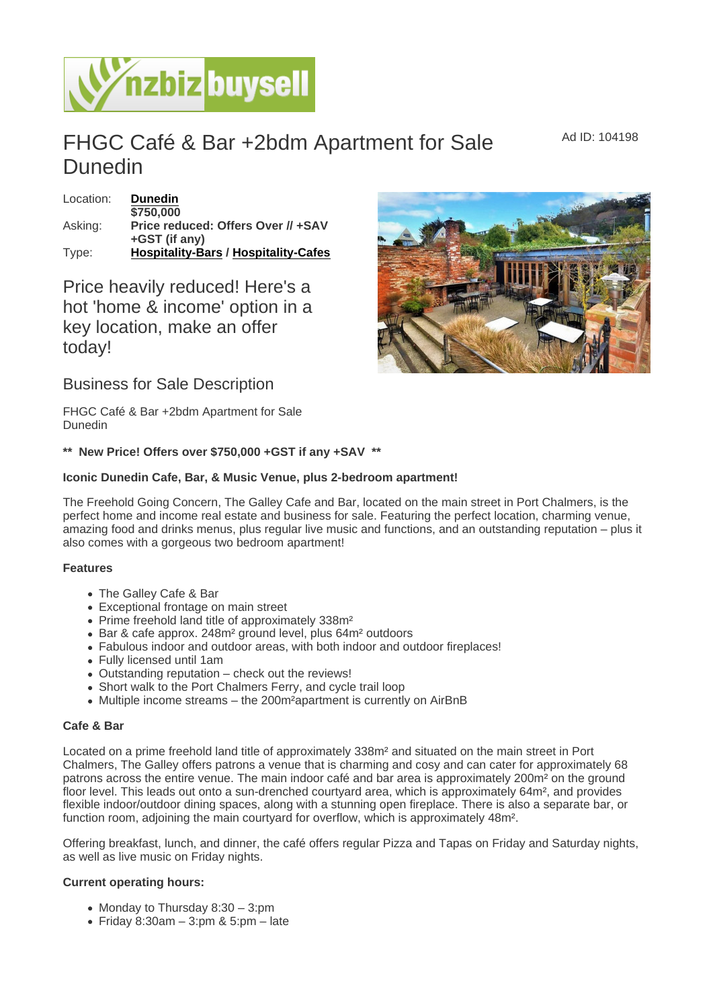## FHGC Café & Bar +2bdm Apartment for Sale Dunedin

| Location: | <b>Dunedin</b>                       |
|-----------|--------------------------------------|
|           | \$750,000                            |
| Asking:   | Price reduced: Offers Over // +SAV   |
|           | $+GST$ (if any)                      |
| Type:     | Hospitality-Bars / Hospitality-Cafes |

Price heavily reduced! Here's a hot 'home & income' option in a key location, make an offer today!

Business for Sale Description

FHGC Café & Bar +2bdm Apartment for Sale Dunedin

\*\* New Price! Offers over \$750,000 +GST if any +SAV \*\*

Iconic Dunedin Cafe, Bar, & Music Venue, plus 2-bedroom apartment!

The Freehold Going Concern, The Galley Cafe and Bar, located on the main street in Port Chalmers, is the perfect home and income real estate and business for sale. Featuring the perfect location, charming venue, amazing food and drinks menus, plus regular live music and functions, and an outstanding reputation – plus it also comes with a gorgeous two bedroom apartment!

## Features

- The Galley Cafe & Bar
- Exceptional frontage on main street
- Prime freehold land title of approximately 338m<sup>2</sup>
- Bar & cafe approx. 248m² ground level, plus 64m² outdoors
- Fabulous indoor and outdoor areas, with both indoor and outdoor fireplaces!
- Fully licensed until 1am
- Outstanding reputation check out the reviews!
- Short walk to the Port Chalmers Ferry, and cycle trail loop
- Multiple income streams the 200m<sup>2</sup>apartment is currently on AirBnB

## Cafe & Bar

Located on a prime freehold land title of approximately 338m² and situated on the main street in Port Chalmers, The Galley offers patrons a venue that is charming and cosy and can cater for approximately 68 patrons across the entire venue. The main indoor café and bar area is approximately 200m² on the ground floor level. This leads out onto a sun-drenched courtyard area, which is approximately 64m<sup>2</sup>, and provides flexible indoor/outdoor dining spaces, along with a stunning open fireplace. There is also a separate bar, or function room, adjoining the main courtyard for overflow, which is approximately 48m².

Offering breakfast, lunch, and dinner, the café offers regular Pizza and Tapas on Friday and Saturday nights, as well as live music on Friday nights.

Current operating hours:

- Monday to Thursday  $8:30 3:pm$
- $\bullet$  Friday 8:30am 3:pm & 5:pm late